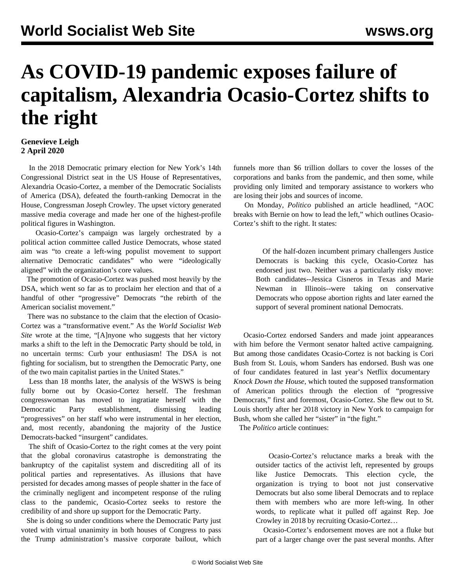## **As COVID-19 pandemic exposes failure of capitalism, Alexandria Ocasio-Cortez shifts to the right**

## **Genevieve Leigh 2 April 2020**

 In the 2018 Democratic primary election for New York's 14th Congressional District seat in the US House of Representatives, Alexandria Ocasio-Cortez, a member of the Democratic Socialists of America (DSA), defeated the fourth-ranking Democrat in the House, Congressman Joseph Crowley. The upset victory generated massive media coverage and made her one of the highest-profile political figures in Washington.

 Ocasio-Cortez's campaign was largely orchestrated by a political action committee called Justice Democrats, whose stated aim was "to create a left-wing populist movement to support alternative Democratic candidates" who were "ideologically aligned" with the organization's core values.

 The promotion of Ocasio-Cortez was pushed most heavily by the DSA, which went so far as to proclaim her election and that of a handful of other "progressive" Democrats "the rebirth of the American socialist movement."

 There was no substance to the claim that the election of Ocasio-Cortez was a "transformative event." As the *World Socialist Web Site* wrote at the time, "[A]nyone who suggests that her victory marks a shift to the left in the Democratic Party should be told, in no uncertain terms: Curb your enthusiasm! The DSA is not fighting for socialism, but to strengthen the Democratic Party, one of the two main capitalist parties in the United States."

 Less than 18 months later, the analysis of the WSWS is being fully borne out by Ocasio-Cortez herself. The freshman congresswoman has moved to ingratiate herself with the Democratic Party establishment, dismissing leading "progressives" on her staff who were instrumental in her election, and, most recently, abandoning the majority of the Justice Democrats-backed "insurgent" candidates.

 The shift of Ocasio-Cortez to the right comes at the very point that the global coronavirus catastrophe is demonstrating the bankruptcy of the capitalist system and discrediting all of its political parties and representatives. As illusions that have persisted for decades among masses of people shatter in the face of the criminally negligent and incompetent response of the ruling class to the pandemic, Ocasio-Cortez seeks to restore the credibility of and shore up support for the Democratic Party.

 She is doing so under conditions where the Democratic Party just voted with virtual unanimity in both houses of Congress to pass the Trump administration's massive corporate bailout, which funnels more than \$6 trillion dollars to cover the losses of the corporations and banks from the pandemic, and then some, while providing only limited and temporary assistance to workers who are losing their jobs and sources of income.

 On Monday, *Politico* published an article headlined, "AOC breaks with Bernie on how to lead the left," which outlines Ocasio-Cortez's shift to the right. It states:

> Of the half-dozen incumbent primary challengers Justice Democrats is backing this cycle, Ocasio-Cortez has endorsed just two. Neither was a particularly risky move: Both candidates--Jessica Cisneros in Texas and Marie Newman in Illinois--were taking on conservative Democrats who oppose abortion rights and later earned the support of several prominent national Democrats.

 Ocasio-Cortez endorsed Sanders and made joint appearances with him before the Vermont senator halted active campaigning. But among those candidates Ocasio-Cortez is not backing is Cori Bush from St. Louis, whom Sanders has endorsed. Bush was one of four candidates featured in last year's Netflix documentary *[Knock Down the House](/en/articles/2019/05/25/kdth-m25.html)*, which touted the supposed transformation of American politics through the election of "progressive Democrats," first and foremost, Ocasio-Cortez. She flew out to St. Louis shortly after her 2018 victory in New York to campaign for Bush, whom she called her "sister" in "the fight."

The *Politico* article continues:

 Ocasio-Cortez's reluctance marks a break with the outsider tactics of the activist left, represented by groups like Justice Democrats. This election cycle, the organization is trying to boot not just conservative Democrats but also some liberal Democrats and to replace them with members who are more left-wing. In other words, to replicate what it pulled off against Rep. Joe Crowley in 2018 by recruiting Ocasio-Cortez…

 Ocasio-Cortez's endorsement moves are not a fluke but part of a larger change over the past several months. After